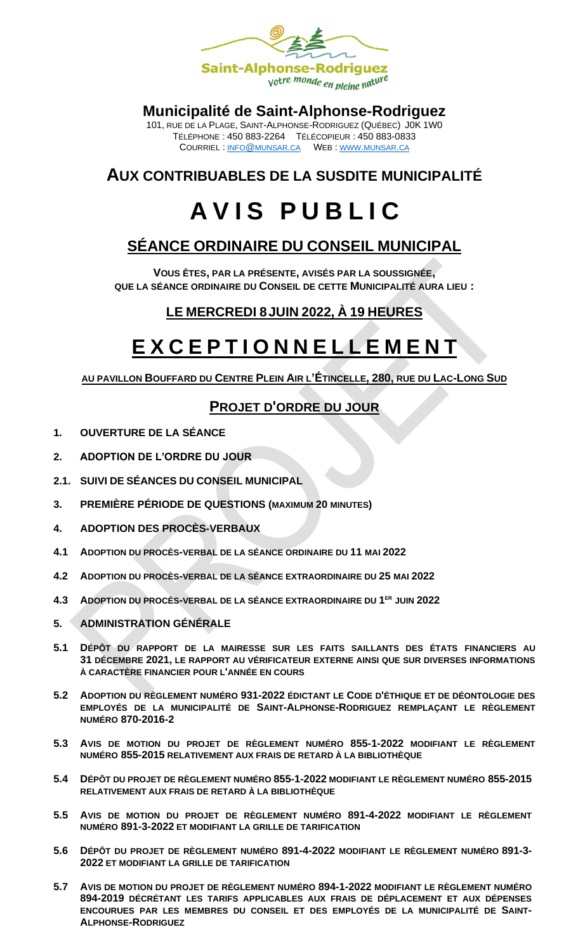

#### **Municipalité de Saint-Alphonse-Rodriguez**

101, RUE DE LA PLAGE, SAINT-ALPHONSE-RODRIGUEZ (QUÉBEC) J0K 1W0 TÉLÉPHONE : 450 883-2264 TÉLÉCOPIEUR : 450 883-0833 COURRIEL : INFO@[MUNSAR](mailto:info@munsar.ca).CA WEB : WWW.[MUNSAR](http://www.munsar.ca/).CA

### **AUX CONTRIBUABLES DE LA SUSDITE MUNICIPALITÉ**

# **A V I S P U B L I C**

## **SÉANCE ORDINAIRE DU CONSEIL MUNICIPAL**

**VOUS ÊTES, PAR LA PRÉSENTE, AVISÉS PAR LA SOUSSIGNÉE, QUE LA SÉANCE ORDINAIRE DU CONSEIL DE CETTE MUNICIPALITÉ AURA LIEU :**

#### **LE MERCREDI 8JUIN 2022, À 19 HEURES**

## **E X C E P T I O N N E L L E M E N T**

**AU PAVILLON BOUFFARD DU CENTRE PLEIN AIR L'ÉTINCELLE, 280, RUE DU LAC-LONG SUD**

#### **PROJET D'ORDRE DU JOUR**

- **1. OUVERTURE DE LA SÉANCE**
- **2. ADOPTION DE L'ORDRE DU JOUR**
- **2.1. SUIVI DE SÉANCES DU CONSEIL MUNICIPAL**
- **3. PREMIÈRE PÉRIODE DE QUESTIONS (MAXIMUM 20 MINUTES)**
- **4. ADOPTION DES PROCÈS-VERBAUX**
- **4.1 ADOPTION DU PROCÈS-VERBAL DE LA SÉANCE ORDINAIRE DU 11 MAI 2022**
- **4.2 ADOPTION DU PROCÈS-VERBAL DE LA SÉANCE EXTRAORDINAIRE DU 25 MAI 2022**
- **4.3 ADOPTION DU PROCÈS-VERBAL DE LA SÉANCE EXTRAORDINAIRE DU 1 ER JUIN 2022**
- **5. ADMINISTRATION GÉNÉRALE**
- **5.1 DÉPÔT DU RAPPORT DE LA MAIRESSE SUR LES FAITS SAILLANTS DES ÉTATS FINANCIERS AU 31 DÉCEMBRE 2021, LE RAPPORT AU VÉRIFICATEUR EXTERNE AINSI QUE SUR DIVERSES INFORMATIONS À CARACTÈRE FINANCIER POUR L'ANNÉE EN COURS**
- **5.2 ADOPTION DU RÈGLEMENT NUMÉRO 931-2022 ÉDICTANT LE CODE D'ÉTHIQUE ET DE DÉONTOLOGIE DES EMPLOYÉS DE LA MUNICIPALITÉ DE SAINT-ALPHONSE-RODRIGUEZ REMPLAÇANT LE RÈGLEMENT NUMÉRO 870-2016-2**
- **5.3 AVIS DE MOTION DU PROJET DE RÈGLEMENT NUMÉRO 855-1-2022 MODIFIANT LE RÈGLEMENT NUMÉRO 855-2015 RELATIVEMENT AUX FRAIS DE RETARD À LA BIBLIOTHÈQUE**
- **5.4 DÉPÔT DU PROJET DE RÈGLEMENT NUMÉRO 855-1-2022 MODIFIANT LE RÈGLEMENT NUMÉRO 855-2015 RELATIVEMENT AUX FRAIS DE RETARD À LA BIBLIOTHÈQUE**
- **5.5 AVIS DE MOTION DU PROJET DE RÈGLEMENT NUMÉRO 891-4-2022 MODIFIANT LE RÈGLEMENT NUMÉRO 891-3-2022 ET MODIFIANT LA GRILLE DE TARIFICATION**
- **5.6 DÉPÔT DU PROJET DE RÈGLEMENT NUMÉRO 891-4-2022 MODIFIANT LE RÈGLEMENT NUMÉRO 891-3- 2022 ET MODIFIANT LA GRILLE DE TARIFICATION**
- **5.7 AVIS DE MOTION DU PROJET DE RÈGLEMENT NUMÉRO 894-1-2022 MODIFIANT LE RÈGLEMENT NUMÉRO 894-2019 DÉCRÉTANT LES TARIFS APPLICABLES AUX FRAIS DE DÉPLACEMENT ET AUX DÉPENSES ENCOURUES PAR LES MEMBRES DU CONSEIL ET DES EMPLOYÉS DE LA MUNICIPALITÉ DE SAINT-ALPHONSE-RODRIGUEZ**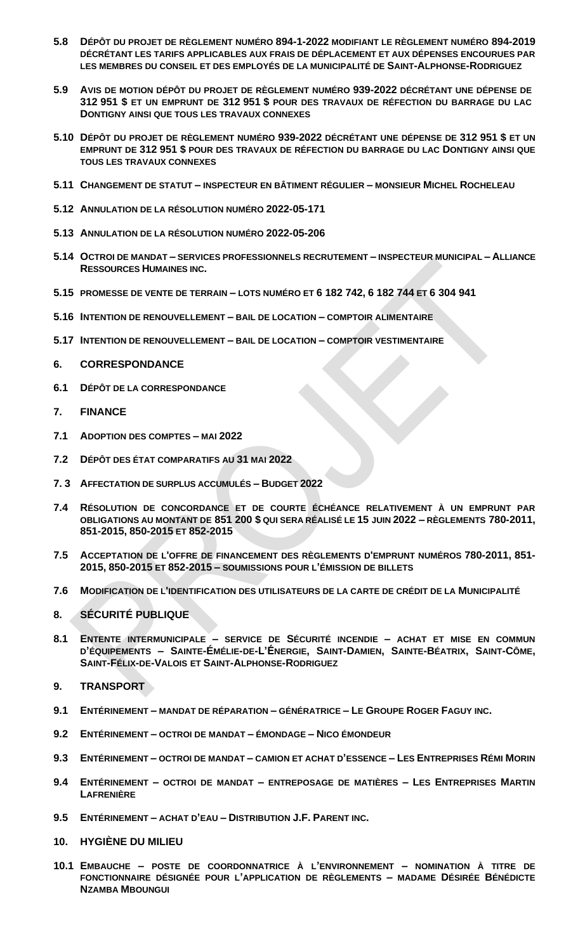- **5.8 DÉPÔT DU PROJET DE RÈGLEMENT NUMÉRO 894-1-2022 MODIFIANT LE RÈGLEMENT NUMÉRO 894-2019 DÉCRÉTANT LES TARIFS APPLICABLES AUX FRAIS DE DÉPLACEMENT ET AUX DÉPENSES ENCOURUES PAR LES MEMBRES DU CONSEIL ET DES EMPLOYÉS DE LA MUNICIPALITÉ DE SAINT-ALPHONSE-RODRIGUEZ**
- **5.9 AVIS DE MOTION DÉPÔT DU PROJET DE RÈGLEMENT NUMÉRO 939-2022 DÉCRÉTANT UNE DÉPENSE DE 312 951 \$ ET UN EMPRUNT DE 312 951 \$ POUR DES TRAVAUX DE RÉFECTION DU BARRAGE DU LAC DONTIGNY AINSI QUE TOUS LES TRAVAUX CONNEXES**
- **5.10 DÉPÔT DU PROJET DE RÈGLEMENT NUMÉRO 939-2022 DÉCRÉTANT UNE DÉPENSE DE 312 951 \$ ET UN EMPRUNT DE 312 951 \$ POUR DES TRAVAUX DE RÉFECTION DU BARRAGE DU LAC DONTIGNY AINSI QUE TOUS LES TRAVAUX CONNEXES**
- **5.11 CHANGEMENT DE STATUT – INSPECTEUR EN BÂTIMENT RÉGULIER – MONSIEUR MICHEL ROCHELEAU**
- **5.12 ANNULATION DE LA RÉSOLUTION NUMÉRO 2022-05-171**
- **5.13 ANNULATION DE LA RÉSOLUTION NUMÉRO 2022-05-206**
- **5.14 OCTROI DE MANDAT – SERVICES PROFESSIONNELS RECRUTEMENT – INSPECTEUR MUNICIPAL – ALLIANCE RESSOURCES HUMAINES INC.**
- **5.15 PROMESSE DE VENTE DE TERRAIN – LOTS NUMÉRO ET 6 182 742, 6 182 744 ET 6 304 941**
- **5.16 INTENTION DE RENOUVELLEMENT – BAIL DE LOCATION – COMPTOIR ALIMENTAIRE**
- **5.17 INTENTION DE RENOUVELLEMENT – BAIL DE LOCATION – COMPTOIR VESTIMENTAIRE**
- **6. CORRESPONDANCE**
- **6.1 DÉPÔT DE LA CORRESPONDANCE**
- **7. FINANCE**
- **7.1 ADOPTION DES COMPTES – MAI 2022**
- **7.2 DÉPÔT DES ÉTAT COMPARATIFS AU 31 MAI 2022**
- **7. 3 AFFECTATION DE SURPLUS ACCUMULÉS – BUDGET 2022**
- **7.4 RÉSOLUTION DE CONCORDANCE ET DE COURTE ÉCHÉANCE RELATIVEMENT À UN EMPRUNT PAR OBLIGATIONS AU MONTANT DE 851 200 \$ QUI SERA RÉALISÉ LE 15 JUIN 2022 – RÈGLEMENTS 780-2011, 851-2015, 850-2015 ET 852-2015**
- **7.5 ACCEPTATION DE L'OFFRE DE FINANCEMENT DES RÈGLEMENTS D'EMPRUNT NUMÉROS 780-2011, 851- 2015, 850-2015 ET 852-2015 – SOUMISSIONS POUR L'ÉMISSION DE BILLETS**
- **7.6 MODIFICATION DE L'IDENTIFICATION DES UTILISATEURS DE LA CARTE DE CRÉDIT DE LA MUNICIPALITÉ**
- **8. SÉCURITÉ PUBLIQUE**
- **8.1 ENTENTE INTERMUNICIPALE – SERVICE DE SÉCURITÉ INCENDIE – ACHAT ET MISE EN COMMUN**  D'ÉQUIPEMENTS - SAINTE-ÉMÉLIE-DE-L'ÉNERGIE, SAINT-DAMIEN, SAINTE-BÉATRIX, SAINT-CÔME, **SAINT-FÉLIX-DE-VALOIS ET SAINT-ALPHONSE-RODRIGUEZ**
- **9. TRANSPORT**
- **9.1 ENTÉRINEMENT – MANDAT DE RÉPARATION – GÉNÉRATRICE – LE GROUPE ROGER FAGUY INC.**
- **9.2 ENTÉRINEMENT – OCTROI DE MANDAT – ÉMONDAGE – NICO ÉMONDEUR**
- 9.3 ENTÉRINEMENT OCTROI DE MANDAT CAMION ET ACHAT D'ESSENCE LES ENTREPRISES RÉMI MORIN
- **9.4 ENTÉRINEMENT – OCTROI DE MANDAT – ENTREPOSAGE DE MATIÈRES – LES ENTREPRISES MARTIN LAFRENIÈRE**
- **9.5 ENTÉRINEMENT – ACHAT D'EAU – DISTRIBUTION J.F. PARENT INC.**
- **10. HYGIÈNE DU MILIEU**
- **10.1 EMBAUCHE – POSTE DE COORDONNATRICE À L'ENVIRONNEMENT – NOMINATION À TITRE DE FONCTIONNAIRE DÉSIGNÉE POUR L'APPLICATION DE RÈGLEMENTS – MADAME DÉSIRÉE BÉNÉDICTE NZAMBA MBOUNGUI**